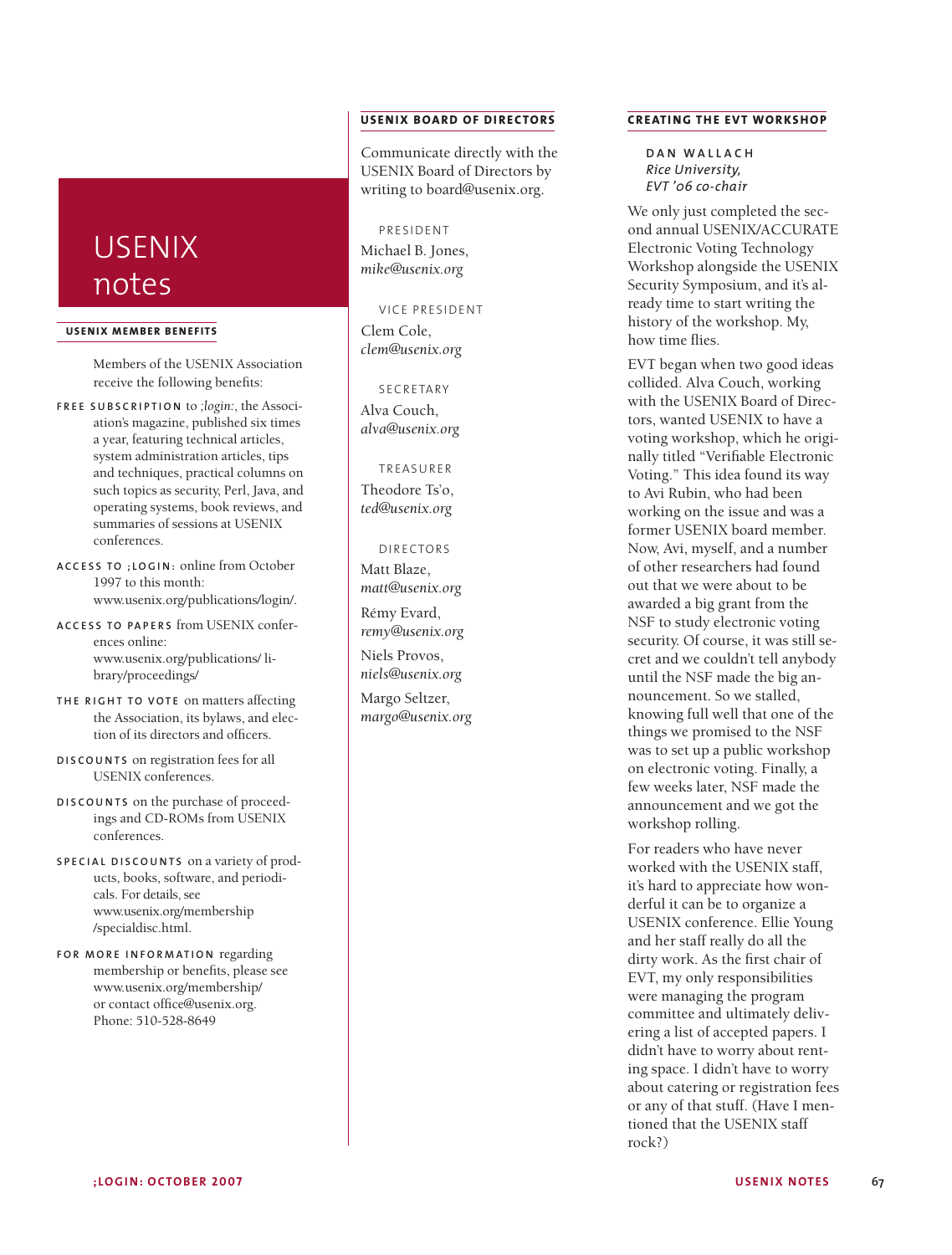# USENIX notes

#### **USENIX MEMBER BENEF ITS**

Members of the USENIX Association receive the following benefits:

- **F R E E S U B S C R I P T I O N** to *;login:*, the Association's magazine, published six times a year, featuring technical articles, system administration articles, tips and techniques, practical columns on such topics as security, Perl, Java, and operating systems, book reviews, and summaries of sessions at USENIX conferences.
- **A C C E S S T O ; L O G I N :** online from October 1997 to this month: www.usenix.org/publications/login/.
- **A C C E S S T O PA P E R S** from USENIX conferences online: www.usenix.org/publications/ library/proceedings/
- **TH E R I G H T T O V O T E** on matters affecting the Association, its bylaws, and election of its directors and officers.
- **D I S C O U N T S** on registration fees for all USENIX conferences.
- **D I S C O U N T S** on the purchase of proceedings and CD-ROMs from USENIX conferences.
- **S P E C I A L D I S C O U N T S** on a variety of products, books, software, and periodicals. For details, see www.usenix.org/membership /specialdisc.html.
- **F O R M O R E I N F O R M AT I O N** regarding membership or benefits, please see www.usenix.org/membership/ or contact office@usenix.org. Phone: 510-528-8649

# **USENIX BOARD OF DIRECTORS**

Communicate directly with the USENIX Board of Directors by writing to board@usenix.org.

# PRESIDENT

Michael B. Jones, *mike@usenix.org*

VICE PRESIDENT Clem Cole, *clem@usenix.org*

#### SECRETARY

Alva Couch, *alva@usenix.org*

### TREASURER

Theodore Ts'o, *ted@usenix.org*

#### DI RECTORS

Matt Blaze, *matt@usenix.org* Rémy Evard,

*remy@usenix.org* Niels Provos,

*niels@usenix.org* Margo Seltzer, *margo@usenix.org*

## **CREATING THE EVT WORKSHOP**

**D A N W A L L A C H** *Rice University, EVT '06 co-chair*

We only just completed the second annual USENIX/ACCURATE Electronic Voting Technology Workshop alongside the USENIX Security Symposium, and it's already time to start writing the history of the workshop. My, how time flies.

EVT began when two good ideas collided. Alva Couch, working with the USENIX Board of Directors, wanted USENIX to have a voting workshop, which he originally titled "Verifiable Electronic Voting." This idea found its way to Avi Rubin, who had been working on the issue and was a former USENIX board member. Now, Avi, myself, and a number of other researchers had found out that we were about to be awarded a big grant from the NSF to study electronic voting security. Of course, it was still secret and we couldn't tell anybody until the NSF made the big announcement. So we stalled, knowing full well that one of the things we promised to the NSF was to set up a public workshop on electronic voting. Finally, a few weeks later, NSF made the announcement and we got the workshop rolling.

For readers who have never worked with the USENIX staff, it's hard to appreciate how wonderful it can be to organize a USENIX conference. Ellie Young and her staff really do all the dirty work. As the first chair of EVT, my only responsibilities were managing the program committee and ultimately delivering a list of accepted papers. I didn't have to worry about renting space. I didn't have to worry about catering or registration fees or any of that stuff. (Have I mentioned that the USENIX staff rock?)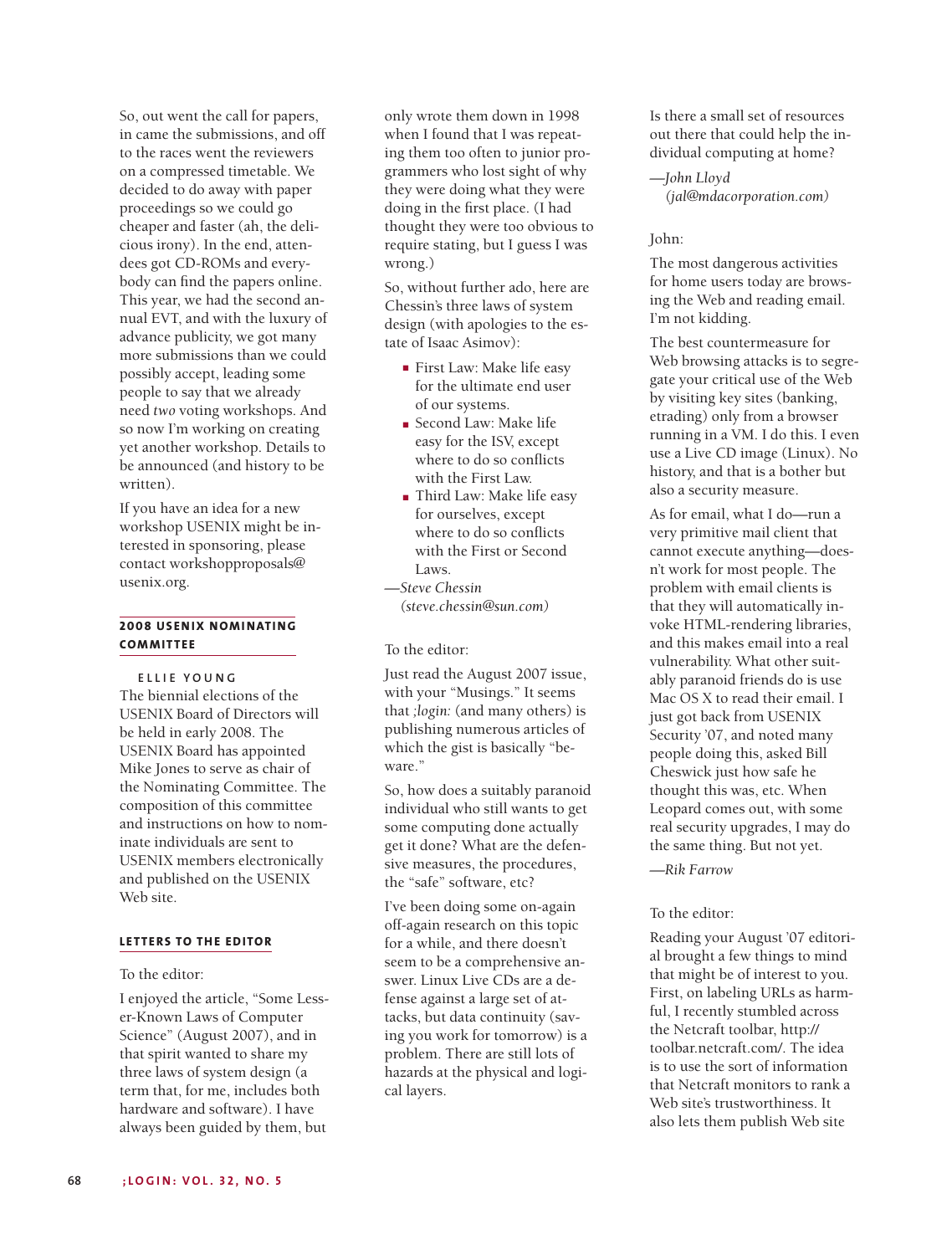So, out went the call for papers, in came the submissions, and off to the races went the reviewers on a compressed timetable. We decided to do away with paper proceedings so we could go cheaper and faster (ah, the delicious irony). In the end, attendees got CD-ROMs and everybody can find the papers online. This year, we had the second annual EVT, and with the luxury of advance publicity, we got many more submissions than we could possibly accept, leading some people to say that we already need *two* voting workshops. And so now I'm working on creating yet another workshop. Details to be announced (and history to be written).

If you have an idea for a new workshop USENIX might be interested in sponsoring, please contact workshopproposals@ usenix.org.

# **2008 USENIX NOMINATING COMMITTEE .**

**E L L I E Y O U N G**

The biennial elections of the USENIX Board of Directors will be held in early 2008. The USENIX Board has appointed Mike Jones to serve as chair of the Nominating Committee. The composition of this committee and instructions on how to nominate individuals are sent to USENIX members electronically and published on the USENIX Web site.

## **LETTERS TO THE EDITOR**

To the editor:

I enjoyed the article, "Some Lesser-Known Laws of Computer Science" (August 2007), and in that spirit wanted to share my three laws of system design (a term that, for me, includes both hardware and software). I have always been guided by them, but

only wrote them down in 1998 when I found that I was repeating them too often to junior programmers who lost sight of why they were doing what they were doing in the first place. (I had thought they were too obvious to require stating, but I guess I was wrong.)

So, without further ado, here are Chessin's three laws of system design (with apologies to the estate of Isaac Asimov):

- **■** First Law: Make life easy for the ultimate end user of our systems.
- **■** Second Law: Make life easy for the ISV, except where to do so conflicts with the First Law.
- **■** Third Law: Make life easy for ourselves, except where to do so conflicts with the First or Second Laws.

*—Steve Chessin (steve.chessin@sun.com)*

To the editor:

Just read the August 2007 issue, with your "Musings." It seems that *;login:* (and many others) is publishing numerous articles of which the gist is basically "beware."

So, how does a suitably paranoid individual who still wants to get some computing done actually get it done? What are the defensive measures, the procedures, the "safe" software, etc?

I've been doing some on-again off-again research on this topic for a while, and there doesn't seem to be a comprehensive answer. Linux Live CDs are a defense against a large set of attacks, but data continuity (saving you work for tomorrow) is a problem. There are still lots of hazards at the physical and logical layers.

Is there a small set of resources out there that could help the individual computing at home?

*—John Lloyd (jal@mdacorporation.com)*

#### John:

The most dangerous activities for home users today are browsing the Web and reading email. I'm not kidding.

The best countermeasure for Web browsing attacks is to segregate your critical use of the Web by visiting key sites (banking, etrading) only from a browser running in a VM. I do this. I even use a Live CD image (Linux). No history, and that is a bother but also a security measure.

As for email, what I do—run a very primitive mail client that cannot execute anything—doesn't work for most people. The problem with email clients is that they will automatically invoke HTML-rendering libraries, and this makes email into a real vulnerability. What other suitably paranoid friends do is use Mac OS X to read their email. I just got back from USENIX Security '07, and noted many people doing this, asked Bill Cheswick just how safe he thought this was, etc. When Leopard comes out, with some real security upgrades, I may do the same thing. But not yet.

*—Rik Farrow*

## To the editor:

Reading your August '07 editorial brought a few things to mind that might be of interest to you. First, on labeling URLs as harmful, I recently stumbled across the Netcraft toolbar, http:// toolbar.netcraft.com/. The idea is to use the sort of information that Netcraft monitors to rank a Web site's trustworthiness. It also lets them publish Web site